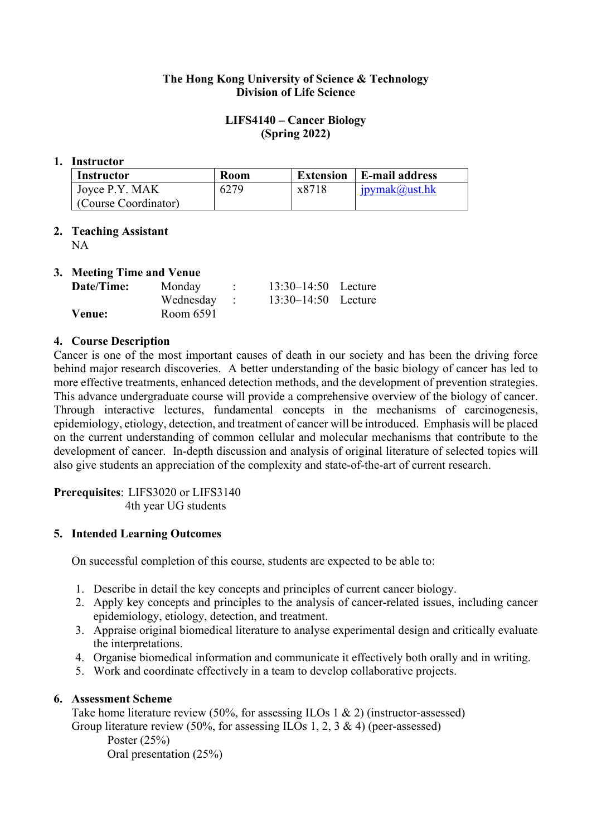## **The Hong Kong University of Science & Technology Division of Life Science**

## **LIFS4140 – Cancer Biology (Spring 2022)**

#### **1. Instructor**

| Instructor           | Room |       | <b>Extension</b>   E-mail address |
|----------------------|------|-------|-----------------------------------|
| Joyce P.Y. MAK       | 6279 | x8718 | ipymak@ust.hk                     |
| (Course Coordinator) |      |       |                                   |

# **2. Teaching Assistant**

NA

## **3. Meeting Time and Venue**

| Date/Time: | Monday      | $13:30-14:50$ Lecture |  |
|------------|-------------|-----------------------|--|
|            | Wednesday : | $13:30-14:50$ Lecture |  |
| Venue:     | Room 6591   |                       |  |

## **4. Course Description**

Cancer is one of the most important causes of death in our society and has been the driving force behind major research discoveries. A better understanding of the basic biology of cancer has led to more effective treatments, enhanced detection methods, and the development of prevention strategies. This advance undergraduate course will provide a comprehensive overview of the biology of cancer. Through interactive lectures, fundamental concepts in the mechanisms of carcinogenesis, epidemiology, etiology, detection, and treatment of cancer will be introduced. Emphasis will be placed on the current understanding of common cellular and molecular mechanisms that contribute to the development of cancer. In-depth discussion and analysis of original literature of selected topics will also give students an appreciation of the complexity and state-of-the-art of current research.

**Prerequisites**: LIFS3020 or LIFS3140 4th year UG students

## **5. Intended Learning Outcomes**

On successful completion of this course, students are expected to be able to:

- 1. Describe in detail the key concepts and principles of current cancer biology.
- 2. Apply key concepts and principles to the analysis of cancer-related issues, including cancer epidemiology, etiology, detection, and treatment.
- 3. Appraise original biomedical literature to analyse experimental design and critically evaluate the interpretations.
- 4. Organise biomedical information and communicate it effectively both orally and in writing.
- 5. Work and coordinate effectively in a team to develop collaborative projects.

## **6. Assessment Scheme**

Take home literature review (50%, for assessing ILOs 1 & 2) (instructor-assessed) Group literature review (50%, for assessing ILOs 1, 2, 3 & 4) (peer-assessed)

Poster (25%) Oral presentation (25%)